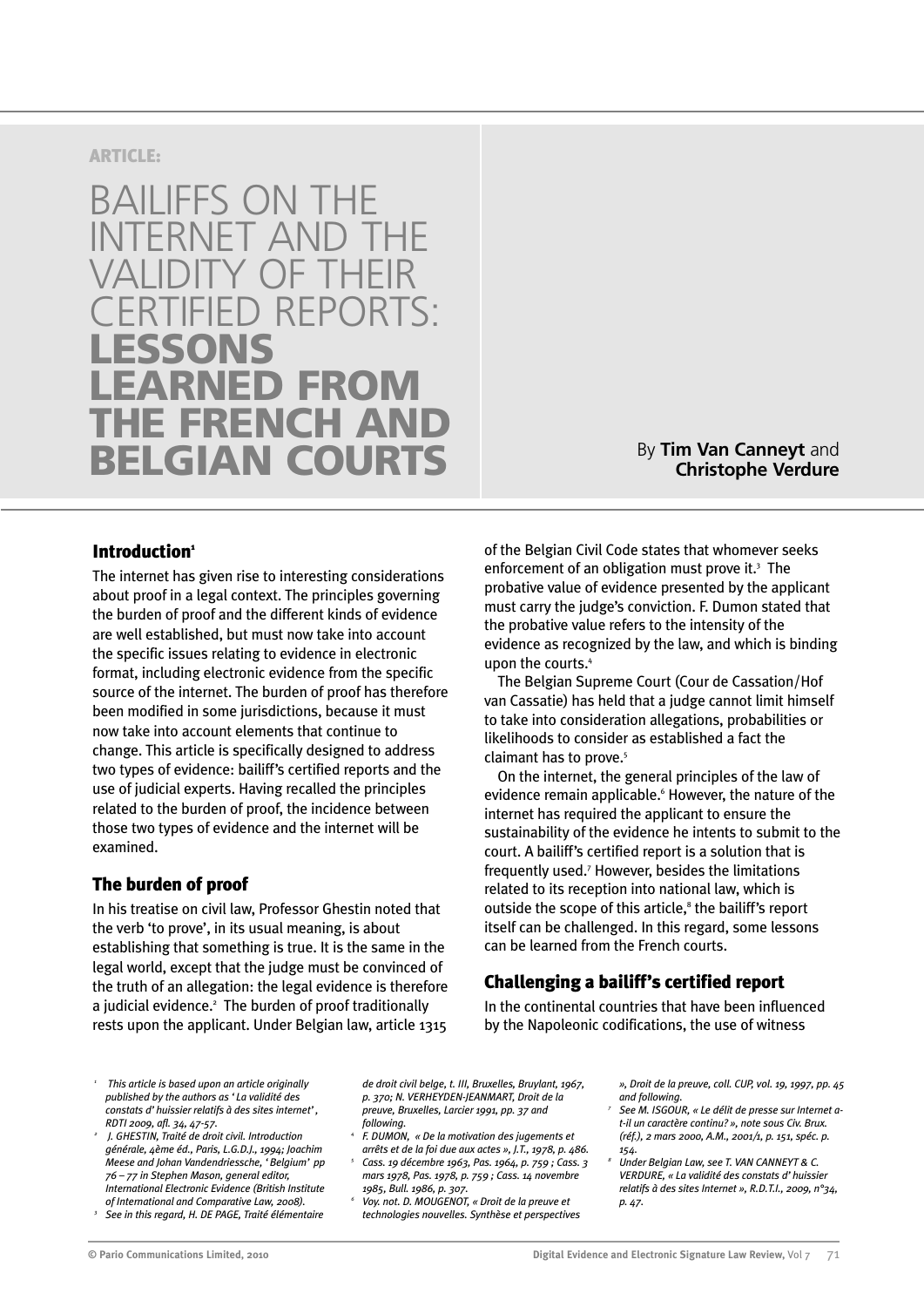## **ARTICLE:**

# BAILIFFS ON THE INTERNET AND THE VALIDITY OF THEIR ERTIFIED RFPORTS. **LESSONS RNED FROM FRENCH AND BELGIAN COURTS**

# By **Tim Van Canneyt** and **Christophe Verdure**

# **Introduction1**

The internet has given rise to interesting considerations about proof in a legal context. The principles governing the burden of proof and the different kinds of evidence are well established, but must now take into account the specific issues relating to evidence in electronic format, including electronic evidence from the specific source of the internet. The burden of proof has therefore been modified in some jurisdictions, because it must now take into account elements that continue to change. This article is specifically designed to address two types of evidence: bailiff's certified reports and the use of judicial experts. Having recalled the principles related to the burden of proof, the incidence between those two types of evidence and the internet will be examined.

# **The burden of proof**

In his treatise on civil law, Professor Ghestin noted that the verb 'to prove', in its usual meaning, is about establishing that something is true. It is the same in the legal world, except that the judge must be convinced of the truth of an allegation: the legal evidence is therefore a judicial evidence.<sup>2</sup> The burden of proof traditionally rests upon the applicant. Under Belgian law, article 1315 of the Belgian Civil Code states that whomever seeks enforcement of an obligation must prove it.<sup>3</sup> The probative value of evidence presented by the applicant must carry the judge's conviction. F. Dumon stated that the probative value refers to the intensity of the evidence as recognized by the law, and which is binding upon the courts.<sup>4</sup>

The Belgian Supreme Court (Cour de Cassation/Hof van Cassatie) has held that a judge cannot limit himself to take into consideration allegations, probabilities or likelihoods to consider as established a fact the claimant has to prove.<sup>5</sup>

On the internet, the general principles of the law of evidence remain applicable.<sup>6</sup> However, the nature of the internet has required the applicant to ensure the sustainability of the evidence he intents to submit to the court. A bailiff's certified report is a solution that is frequently used.7 However, besides the limitations related to its reception into national law, which is outside the scope of this article,<sup>8</sup> the bailiff's report itself can be challenged. In this regard, some lessons can be learned from the French courts.

# **Challenging a bailiff's certified report**

In the continental countries that have been influenced by the Napoleonic codifications, the use of witness

- *<sup>1</sup> This article is based upon an article originally published by the authors as 'La validité des constats d'huissier relatifs à des sites internet', RDTI 2009, afl. 34, 47-57.*
- *<sup>2</sup> J. GHESTIN, Traité de droit civil. Introduction générale, 4ème éd., Paris, L.G.D.J., 1994; Joachim Meese and Johan Vandendriessche, 'Belgium' pp 76 – 77 in Stephen Mason, general editor, International Electronic Evidence (British Institute*
- *of International and Comparative Law, 2008). <sup>3</sup> See in this regard, H. DE PAGE, Traité élémentaire*

*de droit civil belge, t. III, Bruxelles, Bruylant, 1967, p. 370; N. VERHEYDEN-JEANMART, Droit de la preuve, Bruxelles, Larcier 1991, pp. 37 and following.*

- *<sup>4</sup> F. DUMON, « De la motivation des jugements et arrêts et de la foi due aux actes », J.T., 1978, p. 486.*
- *<sup>5</sup> Cass. 19 décembre 1963, Pas. 1964, p. 759 ; Cass. 3 mars 1978, Pas. 1978, p. 759 ; Cass. 14 novembre 1985, Bull. 1986, p. 307.*
- *<sup>6</sup> Voy. not. D. MOUGENOT, « Droit de la preuve et technologies nouvelles. Synthèse et perspectives*
- *», Droit de la preuve, coll. CUP, vol. 19, 1997, pp. 45 and following.*
- *<sup>7</sup> See M. ISGOUR, « Le délit de presse sur Internet at-il un caractère continu? », note sous Civ. Brux. (réf.), 2 mars 2000, A.M., 2001/1, p. 151, spéc. p. 154.*
- *<sup>8</sup> Under Belgian Law, see T. VAN CANNEYT & C. VERDURE, « La validité des constats d'huissier relatifs à des sites Internet », R.D.T.I., 2009, n°34, p. 47.*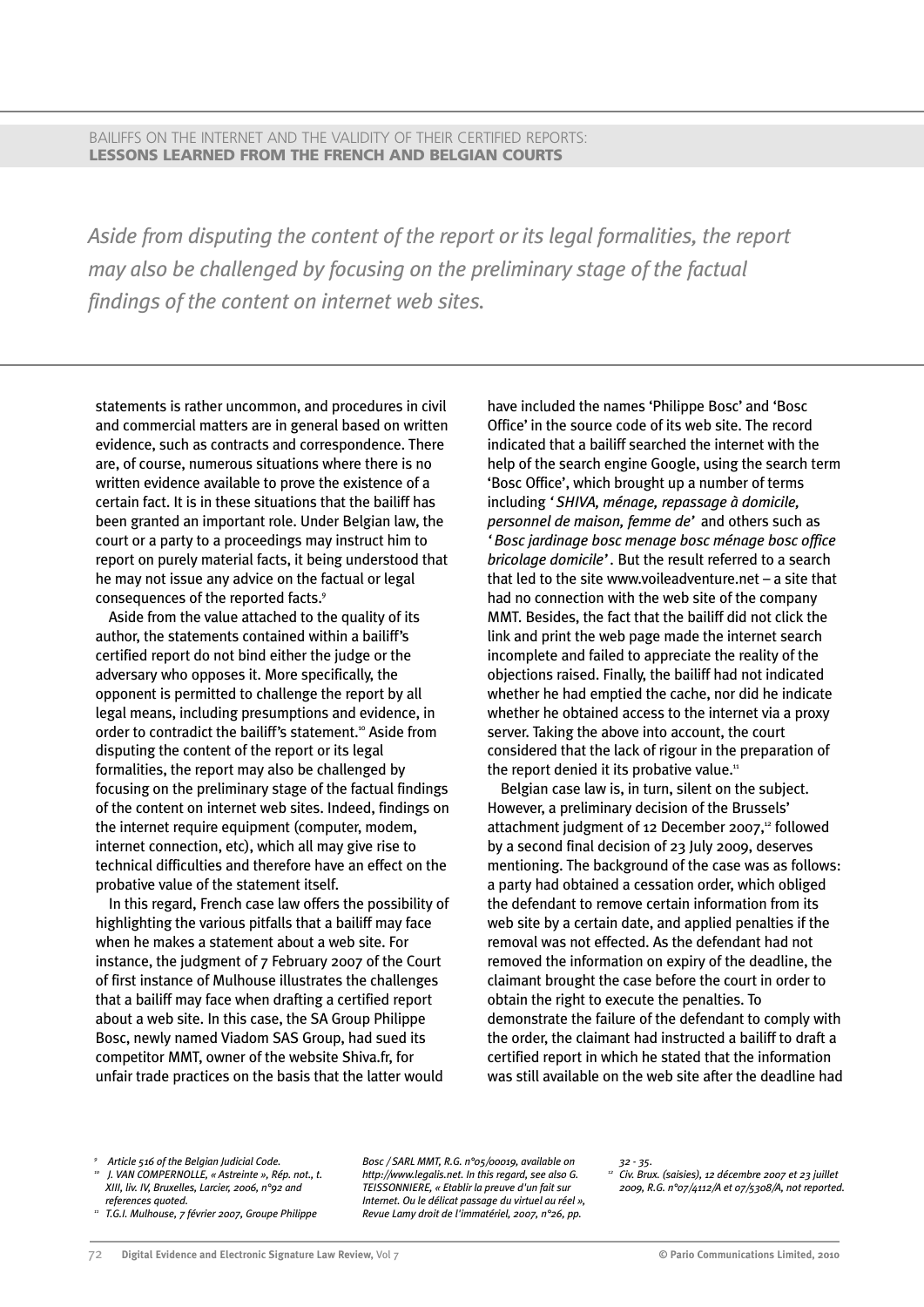BAILIFFS ON THE INTERNET AND THE VALIDITY OF THEIR CERTIFIED REPORTS: **LESSONS LEARNED FROM THE FRENCH AND BELGIAN COURTS**

*Aside from disputing the content of the report or its legal formalities, the report may also be challenged by focusing on the preliminary stage of the factual findings of the content on internet web sites.*

statements is rather uncommon, and procedures in civil and commercial matters are in general based on written evidence, such as contracts and correspondence. There are, of course, numerous situations where there is no written evidence available to prove the existence of a certain fact. It is in these situations that the bailiff has been granted an important role. Under Belgian law, the court or a party to a proceedings may instruct him to report on purely material facts, it being understood that he may not issue any advice on the factual or legal consequences of the reported facts.<sup>9</sup>

Aside from the value attached to the quality of its author, the statements contained within a bailiff's certified report do not bind either the judge or the adversary who opposes it. More specifically, the opponent is permitted to challenge the report by all legal means, including presumptions and evidence, in order to contradict the bailiff's statement.<sup>10</sup> Aside from disputing the content of the report or its legal formalities, the report may also be challenged by focusing on the preliminary stage of the factual findings of the content on internet web sites. Indeed, findings on the internet require equipment (computer, modem, internet connection, etc), which all may give rise to technical difficulties and therefore have an effect on the probative value of the statement itself.

In this regard, French case law offers the possibility of highlighting the various pitfalls that a bailiff may face when he makes a statement about a web site. For instance, the judgment of 7 February 2007 of the Court of first instance of Mulhouse illustrates the challenges that a bailiff may face when drafting a certified report about a web site. In this case, the SA Group Philippe Bosc, newly named Viadom SAS Group, had sued its competitor MMT, owner of the website Shiva.fr, for unfair trade practices on the basis that the latter would

have included the names 'Philippe Bosc' and 'Bosc Office' in the source code of its web site. The record indicated that a bailiff searched the internet with the help of the search engine Google, using the search term 'Bosc Office', which brought up a number of terms including *'SHIVA, ménage, repassage à domicile, personnel de maison, femme de'* and others such as *'Bosc jardinage bosc menage bosc ménage bosc office bricolage domicile'.* But the result referred to a search that led to the site www.voileadventure.net – a site that had no connection with the web site of the company MMT. Besides, the fact that the bailiff did not click the link and print the web page made the internet search incomplete and failed to appreciate the reality of the objections raised. Finally, the bailiff had not indicated whether he had emptied the cache, nor did he indicate whether he obtained access to the internet via a proxy server. Taking the above into account, the court considered that the lack of rigour in the preparation of the report denied it its probative value.<sup>11</sup>

Belgian case law is, in turn, silent on the subject. However, a preliminary decision of the Brussels' attachment judgment of 12 December 2007,<sup>12</sup> followed by a second final decision of 23 July 2009, deserves mentioning. The background of the case was as follows: a party had obtained a cessation order, which obliged the defendant to remove certain information from its web site by a certain date, and applied penalties if the removal was not effected. As the defendant had not removed the information on expiry of the deadline, the claimant brought the case before the court in order to obtain the right to execute the penalties. To demonstrate the failure of the defendant to comply with the order, the claimant had instructed a bailiff to draft a certified report in which he stated that the information was still available on the web site after the deadline had

- *<sup>10</sup> J. VAN COMPERNOLLE, « Astreinte », Rép. not., t. XIII, liv. IV, Bruxelles, Larcier, 2006, n°92 and references quoted.*
- *<sup>11</sup> T.G.I. Mulhouse, 7 février 2007, Groupe Philippe*

*Bosc / SARL MMT, R.G. n°05/00019, available on http://www.legalis.net. In this regard, see also G. TEISSONNIERE, « Etablir la preuve d'un fait sur Internet. Ou le délicat passage du virtuel au réel », Revue Lamy droit de l'immatériel, 2007, n°26, pp.*

*32 - 35. <sup>12</sup> Civ. Brux. (saisies), 12 décembre 2007 et 23 juillet 2009, R.G. n°07/4112/A et 07/5308/A, not reported.*

*<sup>9</sup> Article 516 of the Belgian Judicial Code.*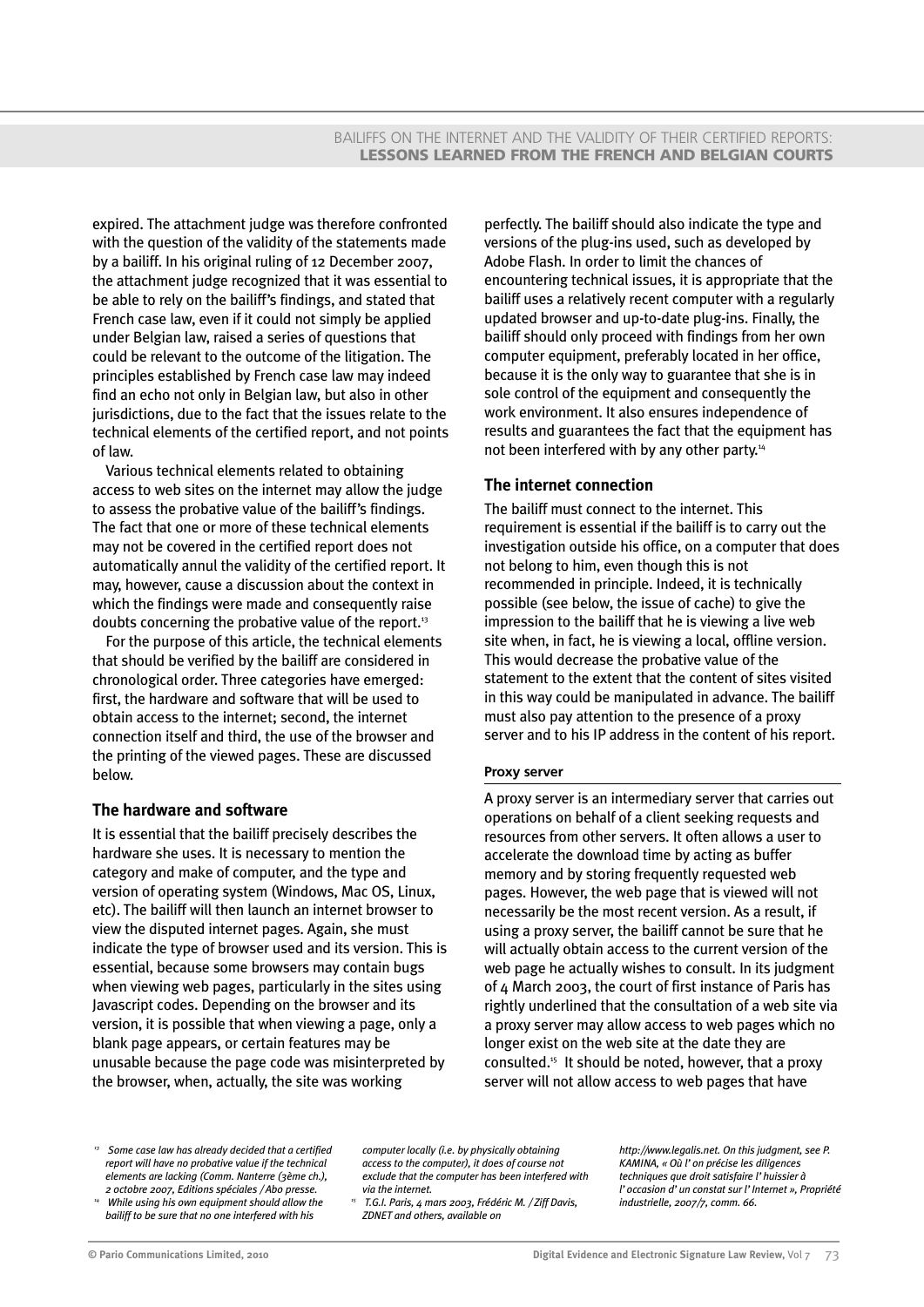expired. The attachment judge was therefore confronted with the question of the validity of the statements made by a bailiff. In his original ruling of 12 December 2007, the attachment judge recognized that it was essential to be able to rely on the bailiff's findings, and stated that French case law, even if it could not simply be applied under Belgian law, raised a series of questions that could be relevant to the outcome of the litigation. The principles established by French case law may indeed find an echo not only in Belgian law, but also in other jurisdictions, due to the fact that the issues relate to the technical elements of the certified report, and not points of law.

Various technical elements related to obtaining access to web sites on the internet may allow the judge to assess the probative value of the bailiff's findings. The fact that one or more of these technical elements may not be covered in the certified report does not automatically annul the validity of the certified report. It may, however, cause a discussion about the context in which the findings were made and consequently raise doubts concerning the probative value of the report.13

For the purpose of this article, the technical elements that should be verified by the bailiff are considered in chronological order. Three categories have emerged: first, the hardware and software that will be used to obtain access to the internet; second, the internet connection itself and third, the use of the browser and the printing of the viewed pages. These are discussed below.

## **The hardware and software**

It is essential that the bailiff precisely describes the hardware she uses. It is necessary to mention the category and make of computer, and the type and version of operating system (Windows, Mac OS, Linux, etc). The bailiff will then launch an internet browser to view the disputed internet pages. Again, she must indicate the type of browser used and its version. This is essential, because some browsers may contain bugs when viewing web pages, particularly in the sites using Javascript codes. Depending on the browser and its version, it is possible that when viewing a page, only a blank page appears, or certain features may be unusable because the page code was misinterpreted by the browser, when, actually, the site was working

perfectly. The bailiff should also indicate the type and versions of the plug-ins used, such as developed by Adobe Flash. In order to limit the chances of encountering technical issues, it is appropriate that the bailiff uses a relatively recent computer with a regularly updated browser and up-to-date plug-ins. Finally, the bailiff should only proceed with findings from her own computer equipment, preferably located in her office, because it is the only way to guarantee that she is in sole control of the equipment and consequently the work environment. It also ensures independence of results and guarantees the fact that the equipment has not been interfered with by any other party.<sup>14</sup>

## **The internet connection**

The bailiff must connect to the internet. This requirement is essential if the bailiff is to carry out the investigation outside his office, on a computer that does not belong to him, even though this is not recommended in principle. Indeed, it is technically possible (see below, the issue of cache) to give the impression to the bailiff that he is viewing a live web site when, in fact, he is viewing a local, offline version. This would decrease the probative value of the statement to the extent that the content of sites visited in this way could be manipulated in advance. The bailiff must also pay attention to the presence of a proxy server and to his IP address in the content of his report.

#### **Proxy server**

A proxy server is an intermediary server that carries out operations on behalf of a client seeking requests and resources from other servers. It often allows a user to accelerate the download time by acting as buffer memory and by storing frequently requested web pages. However, the web page that is viewed will not necessarily be the most recent version. As a result, if using a proxy server, the bailiff cannot be sure that he will actually obtain access to the current version of the web page he actually wishes to consult. In its judgment of 4 March 2003, the court of first instance of Paris has rightly underlined that the consultation of a web site via a proxy server may allow access to web pages which no longer exist on the web site at the date they are consulted.15 It should be noted, however, that a proxy server will not allow access to web pages that have

*<sup>13</sup> Some case law has already decided that a certified report will have no probative value if the technical elements are lacking (Comm. Nanterre (3ème ch.), 2 octobre 2007, Editions spéciales / Abo presse.*

*<sup>14</sup> While using his own equipment should allow the bailiff to be sure that no one interfered with his*

*computer locally (i.e. by physically obtaining access to the computer), it does of course not exclude that the computer has been interfered with via the internet.*

*<sup>15</sup> T.G.I. Paris, 4 mars 2003, Frédéric M. / Ziff Davis, ZDNET and others, available on*

*http://www.legalis.net. On this judgment, see P. KAMINA, « Où l'on précise les diligences techniques que droit satisfaire l'huissier à l'occasion d'un constat sur l'Internet », Propriété industrielle, 2007/7, comm. 66.*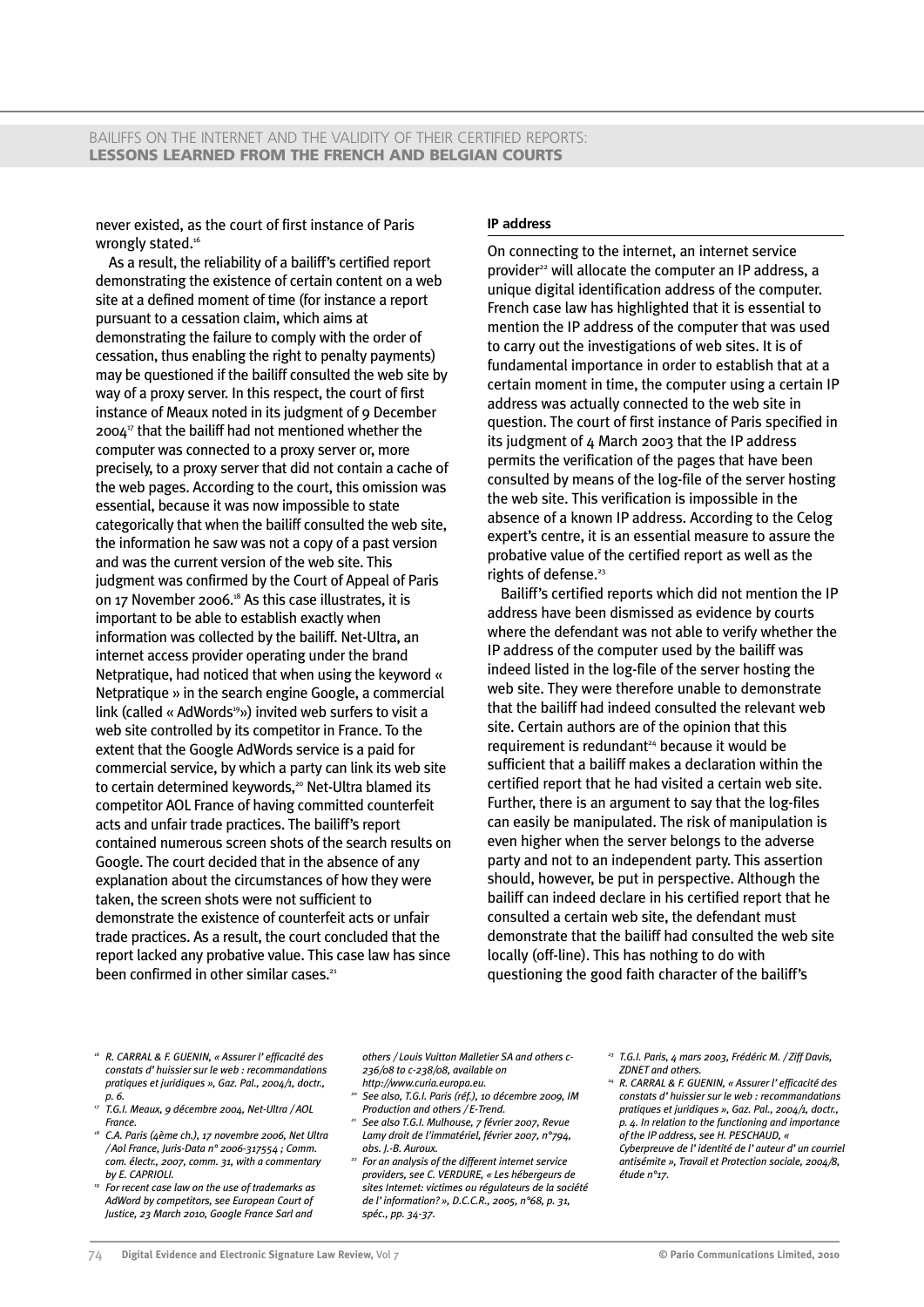never existed, as the court of first instance of Paris wrongly stated.<sup>16</sup>

As a result, the reliability of a bailiff's certified report demonstrating the existence of certain content on a web site at a defined moment of time (for instance a report pursuant to a cessation claim, which aims at demonstrating the failure to comply with the order of cessation, thus enabling the right to penalty payments) may be questioned if the bailiff consulted the web site by way of a proxy server. In this respect, the court of first instance of Meaux noted in its judgment of 9 December 200417 that the bailiff had not mentioned whether the computer was connected to a proxy server or, more precisely, to a proxy server that did not contain a cache of the web pages. According to the court, this omission was essential, because it was now impossible to state categorically that when the bailiff consulted the web site, the information he saw was not a copy of a past version and was the current version of the web site. This judgment was confirmed by the Court of Appeal of Paris on 17 November 2006.<sup>18</sup> As this case illustrates, it is important to be able to establish exactly when information was collected by the bailiff. Net-Ultra, an internet access provider operating under the brand Netpratique, had noticed that when using the keyword « Netpratique » in the search engine Google, a commercial link (called « AdWords<sup>19</sup>») invited web surfers to visit a web site controlled by its competitor in France. To the extent that the Google AdWords service is a paid for commercial service, by which a party can link its web site to certain determined keywords,<sup>20</sup> Net-Ultra blamed its competitor AOL France of having committed counterfeit acts and unfair trade practices. The bailiff's report contained numerous screen shots of the search results on Google. The court decided that in the absence of any explanation about the circumstances of how they were taken, the screen shots were not sufficient to demonstrate the existence of counterfeit acts or unfair trade practices. As a result, the court concluded that the report lacked any probative value. This case law has since been confirmed in other similar cases. $21$ 

#### **IP address**

On connecting to the internet, an internet service provider<sup>22</sup> will allocate the computer an IP address, a unique digital identification address of the computer. French case law has highlighted that it is essential to mention the IP address of the computer that was used to carry out the investigations of web sites. It is of fundamental importance in order to establish that at a certain moment in time, the computer using a certain IP address was actually connected to the web site in question. The court of first instance of Paris specified in its judgment of 4 March 2003 that the IP address permits the verification of the pages that have been consulted by means of the log-file of the server hosting the web site. This verification is impossible in the absence of a known IP address. According to the Celog expert's centre, it is an essential measure to assure the probative value of the certified report as well as the rights of defense.<sup>23</sup>

Bailiff's certified reports which did not mention the IP address have been dismissed as evidence by courts where the defendant was not able to verify whether the IP address of the computer used by the bailiff was indeed listed in the log-file of the server hosting the web site. They were therefore unable to demonstrate that the bailiff had indeed consulted the relevant web site. Certain authors are of the opinion that this requirement is redundant<sup>24</sup> because it would be sufficient that a bailiff makes a declaration within the certified report that he had visited a certain web site. Further, there is an argument to say that the log-files can easily be manipulated. The risk of manipulation is even higher when the server belongs to the adverse party and not to an independent party. This assertion should, however, be put in perspective. Although the bailiff can indeed declare in his certified report that he consulted a certain web site, the defendant must demonstrate that the bailiff had consulted the web site locally (off-line). This has nothing to do with questioning the good faith character of the bailiff's

- *<sup>16</sup> R. CARRAL & F. GUENIN, « Assurer l'efficacité des constats d'huissier sur le web : recommandations pratiques et juridiques », Gaz. Pal., 2004/1, doctr.,*
- *p. 6. 17 T.G.I. Meaux, 9 décembre 2004, Net-Ultra / AOL France.*
- *<sup>18</sup> C.A. Paris (4ème ch.), 17 novembre 2006, Net Ultra / Aol France, Juris-Data n° 2006-317554 ; Comm. com. électr., 2007, comm. 31, with a commentary by E. CAPRIOLI.*
- *<sup>19</sup> For recent case law on the use of trademarks as AdWord by competitors, see European Court of Justice, 23 March 2010, Google France Sarl and*

*others / Louis Vuitton Malletier SA and others c-236/08 to c-238/08, available on http://www.curia.europa.eu.*

- *<sup>20</sup> See also, T.G.I. Paris (réf.), 10 décembre 2009, IM Production and others / E-Trend.*
- *<sup>21</sup> See also T.G.I. Mulhouse, 7 février 2007, Revue Lamy droit de l'immatériel, février 2007, n°794, obs. J.-B. Auroux.*
- *<sup>22</sup> For an analysis of the different internet service providers, see C. VERDURE, « Les hébergeurs de sites Internet: victimes ou régulateurs de la société de l'information? », D.C.C.R., 2005, n°68, p. 31, spéc., pp. 34-37.*
- *<sup>23</sup> T.G.I. Paris, 4 mars 2003, Frédéric M. / Ziff Davis, ZDNET and others.*
- *<sup>24</sup> R. CARRAL & F. GUENIN, « Assurer l'efficacité des constats d'huissier sur le web : recommandations pratiques et juridiques », Gaz. Pal., 2004/1, doctr., p. 4. In relation to the functioning and importance of the IP address, see H. PESCHAUD, «*

*Cyberpreuve de l'identité de l'auteur d'un courriel antisémite », Travail et Protection sociale, 2004/8, étude n°17.*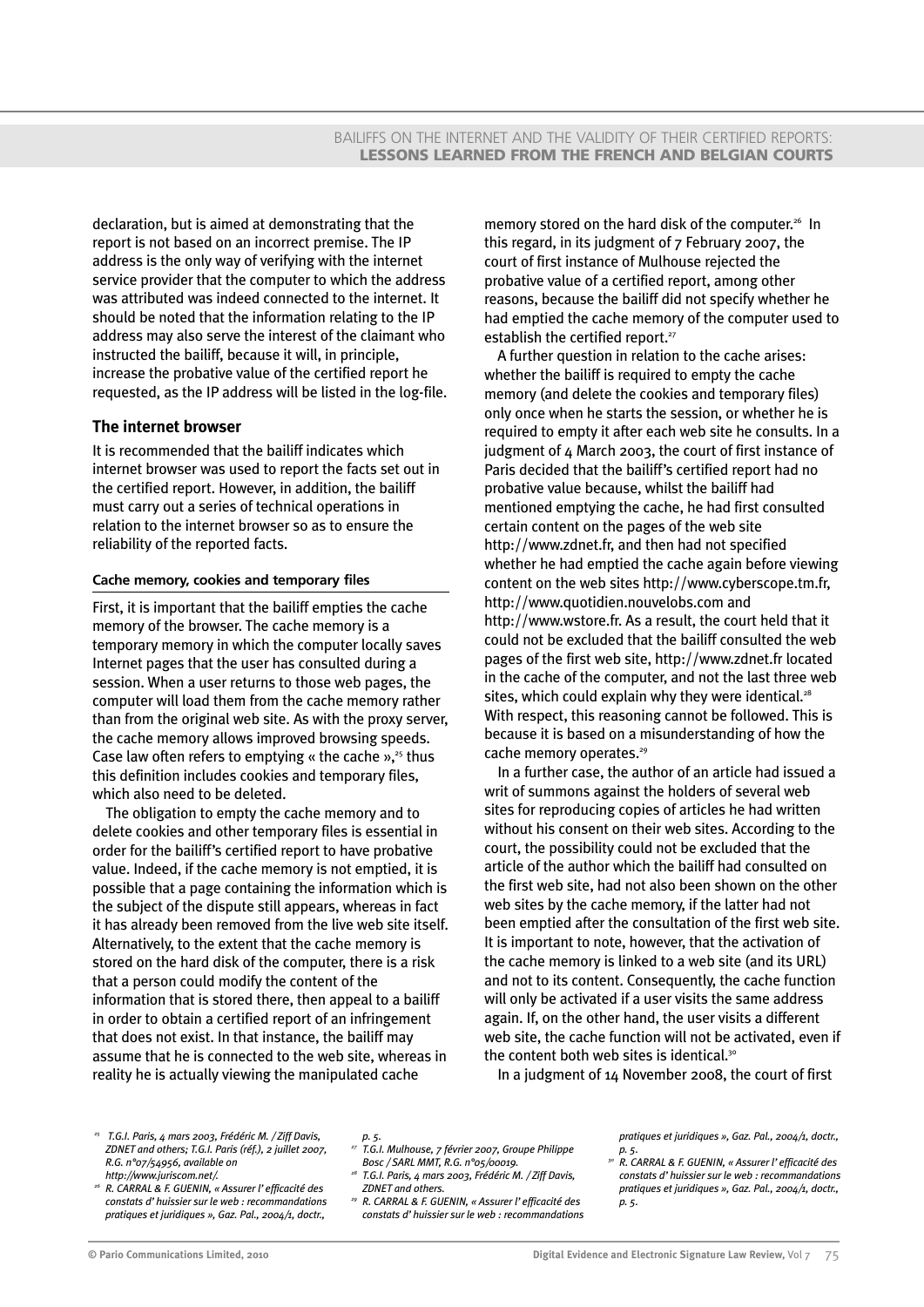declaration, but is aimed at demonstrating that the report is not based on an incorrect premise. The IP address is the only way of verifying with the internet service provider that the computer to which the address was attributed was indeed connected to the internet. It should be noted that the information relating to the IP address may also serve the interest of the claimant who instructed the bailiff, because it will, in principle, increase the probative value of the certified report he requested, as the IP address will be listed in the log-file.

## **The internet browser**

It is recommended that the bailiff indicates which internet browser was used to report the facts set out in the certified report. However, in addition, the bailiff must carry out a series of technical operations in relation to the internet browser so as to ensure the reliability of the reported facts.

#### **Cache memory, cookies and temporary files**

First, it is important that the bailiff empties the cache memory of the browser. The cache memory is a temporary memory in which the computer locally saves Internet pages that the user has consulted during a session. When a user returns to those web pages, the computer will load them from the cache memory rather than from the original web site. As with the proxy server, the cache memory allows improved browsing speeds. Case law often refers to emptying « the cache » $x^{25}$  thus this definition includes cookies and temporary files, which also need to be deleted.

The obligation to empty the cache memory and to delete cookies and other temporary files is essential in order for the bailiff's certified report to have probative value. Indeed, if the cache memory is not emptied, it is possible that a page containing the information which is the subject of the dispute still appears, whereas in fact it has already been removed from the live web site itself. Alternatively, to the extent that the cache memory is stored on the hard disk of the computer, there is a risk that a person could modify the content of the information that is stored there, then appeal to a bailiff in order to obtain a certified report of an infringement that does not exist. In that instance, the bailiff may assume that he is connected to the web site, whereas in reality he is actually viewing the manipulated cache

memory stored on the hard disk of the computer.<sup>26</sup> In this regard, in its judgment of 7 February 2007, the court of first instance of Mulhouse rejected the probative value of a certified report, among other reasons, because the bailiff did not specify whether he had emptied the cache memory of the computer used to establish the certified report.<sup>27</sup>

A further question in relation to the cache arises: whether the bailiff is required to empty the cache memory (and delete the cookies and temporary files) only once when he starts the session, or whether he is required to empty it after each web site he consults. In a judgment of 4 March 2003, the court of first instance of Paris decided that the bailiff's certified report had no probative value because, whilst the bailiff had mentioned emptying the cache, he had first consulted certain content on the pages of the web site http://www.zdnet.fr, and then had not specified whether he had emptied the cache again before viewing content on the web sites http://www.cyberscope.tm.fr, http://www.quotidien.nouvelobs.com and http://www.wstore.fr. As a result, the court held that it could not be excluded that the bailiff consulted the web pages of the first web site, http://www.zdnet.fr located in the cache of the computer, and not the last three web sites, which could explain why they were identical. $28$ With respect, this reasoning cannot be followed. This is because it is based on a misunderstanding of how the cache memory operates.<sup>29</sup>

In a further case, the author of an article had issued a writ of summons against the holders of several web sites for reproducing copies of articles he had written without his consent on their web sites. According to the court, the possibility could not be excluded that the article of the author which the bailiff had consulted on the first web site, had not also been shown on the other web sites by the cache memory, if the latter had not been emptied after the consultation of the first web site. It is important to note, however, that the activation of the cache memory is linked to a web site (and its URL) and not to its content. Consequently, the cache function will only be activated if a user visits the same address again. If, on the other hand, the user visits a different web site, the cache function will not be activated, even if the content both web sites is identical.<sup>30</sup>

In a judgment of 14 November 2008, the court of first

- *<sup>25</sup> T.G.I. Paris, 4 mars 2003, Frédéric M. / Ziff Davis, ZDNET and others; T.G.I. Paris (réf.), 2 juillet 2007, R.G. n°07/54956, available on http://www.juriscom.net/.*
- *<sup>26</sup> R. CARRAL & F. GUENIN, « Assurer l'efficacité des constats d'huissier sur le web : recommandations pratiques et juridiques », Gaz. Pal., 2004/1, doctr.,*

#### *p. 5.*

- *<sup>27</sup> T.G.I. Mulhouse, 7 février 2007, Groupe Philippe Bosc / SARL MMT, R.G. n°05/00019.*
- *<sup>28</sup> T.G.I. Paris, 4 mars 2003, Frédéric M. / Ziff Davis, ZDNET and others.*
- *<sup>29</sup> R. CARRAL & F. GUENIN, « Assurer l'efficacité des constats d'huissier sur le web : recommandations*

*pratiques et juridiques », Gaz. Pal., 2004/1, doctr., p. 5.*

*<sup>30</sup> R. CARRAL & F. GUENIN, « Assurer l'efficacité des constats d'huissier sur le web : recommandations pratiques et juridiques », Gaz. Pal., 2004/1, doctr., p. 5.*